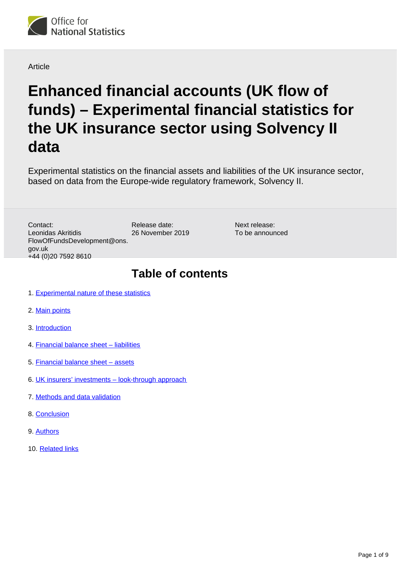

**Article** 

# **Enhanced financial accounts (UK flow of funds) – Experimental financial statistics for the UK insurance sector using Solvency II data**

Experimental statistics on the financial assets and liabilities of the UK insurance sector, based on data from the Europe-wide regulatory framework, Solvency II.

Release date: 26 November 2019 Contact: Leonidas Akritidis FlowOfFundsDevelopment@ons. gov.uk +44 (0)20 7592 8610

Next release: To be announced

## **Table of contents**

- 1. [Experimental nature of these statistics](#page-1-0)
- 2. [Main points](#page-1-1)
- 3. [Introduction](#page-1-2)
- 4. [Financial balance sheet liabilities](#page-2-0)
- 5. [Financial balance sheet assets](#page-3-0)
- 6. [UK insurers' investments look-through approach](#page-5-0)
- 7. [Methods and data validation](#page-6-0)
- 8. [Conclusion](#page-8-0)
- 9. [Authors](#page-8-1)
- 10. [Related links](#page-8-2)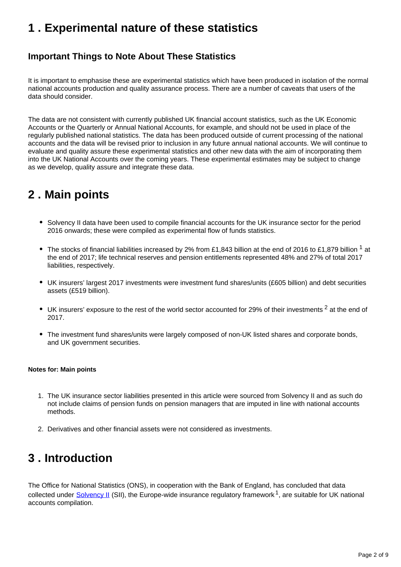## <span id="page-1-0"></span>**1 . Experimental nature of these statistics**

### **Important Things to Note About These Statistics**

It is important to emphasise these are experimental statistics which have been produced in isolation of the normal national accounts production and quality assurance process. There are a number of caveats that users of the data should consider.

The data are not consistent with currently published UK financial account statistics, such as the UK Economic Accounts or the Quarterly or Annual National Accounts, for example, and should not be used in place of the regularly published national statistics. The data has been produced outside of current processing of the national accounts and the data will be revised prior to inclusion in any future annual national accounts. We will continue to evaluate and quality assure these experimental statistics and other new data with the aim of incorporating them into the UK National Accounts over the coming years. These experimental estimates may be subject to change as we develop, quality assure and integrate these data.

# <span id="page-1-1"></span>**2 . Main points**

- Solvency II data have been used to compile financial accounts for the UK insurance sector for the period 2016 onwards; these were compiled as experimental flow of funds statistics.
- The stocks of financial liabilities increased by 2% from £1,843 billion at the end of 2016 to £1,879 billion <sup>1</sup> at the end of 2017; life technical reserves and pension entitlements represented 48% and 27% of total 2017 liabilities, respectively.
- UK insurers' largest 2017 investments were investment fund shares/units (£605 billion) and debt securities assets (£519 billion).
- UK insurers' exposure to the rest of the world sector accounted for 29% of their investments  $2$  at the end of 2017.
- The investment fund shares/units were largely composed of non-UK listed shares and corporate bonds, and UK government securities.

#### **Notes for: Main points**

- 1. The UK insurance sector liabilities presented in this article were sourced from Solvency II and as such do not include claims of pension funds on pension managers that are imputed in line with national accounts methods.
- 2. Derivatives and other financial assets were not considered as investments.

## <span id="page-1-2"></span>**3 . Introduction**

The Office for National Statistics (ONS), in cooperation with the Bank of England, has concluded that data collected under [Solvency II](https://eiopa.europa.eu/regulation-supervision/insurance/solvency-ii) (SII), the Europe-wide insurance regulatory framework<sup>1</sup>, are suitable for UK national accounts compilation.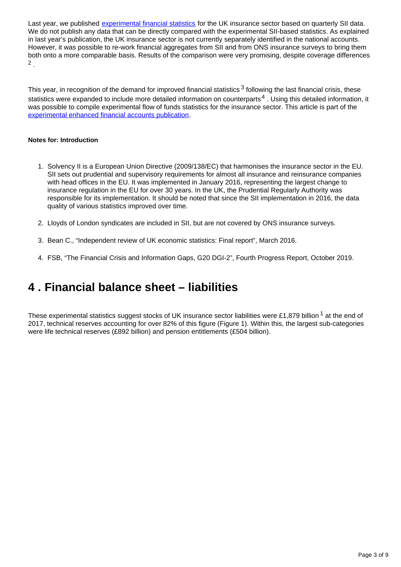Last year, we published [experimental financial statistics](https://www.ons.gov.uk/economy/nationalaccounts/uksectoraccounts/articles/experimentalfinancialstatisticsforinsuranceusingsolvencyiiregulatorydataenhancedfinancialaccountsukflowoffunds/2018-04-30) for the UK insurance sector based on quarterly SII data. We do not publish any data that can be directly compared with the experimental SII-based statistics. As explained in last year's publication, the UK insurance sector is not currently separately identified in the national accounts. However, it was possible to re-work financial aggregates from SII and from ONS insurance surveys to bring them both onto a more comparable basis. Results of the comparison were very promising, despite coverage differences . 2

This year, in recognition of the demand for improved financial statistics  $3$  following the last financial crisis, these statistics were expanded to include more detailed information on counterparts<sup>4</sup>. Using this detailed information, it was possible to compile experimental flow of funds statistics for the insurance sector. This article is part of the [experimental enhanced financial accounts publication](https://www.ons.gov.uk/releases/econonicstatisticsprogrammeenhancedfinancialaccountsukflowoffunds2019experimentalstatisticsmatrix).

#### **Notes for: Introduction**

- 1. Solvency II is a European Union Directive (2009/138/EC) that harmonises the insurance sector in the EU. SII sets out prudential and supervisory requirements for almost all insurance and reinsurance companies with head offices in the EU. It was implemented in January 2016, representing the largest change to insurance regulation in the EU for over 30 years. In the UK, the Prudential Regularly Authority was responsible for its implementation. It should be noted that since the SII implementation in 2016, the data quality of various statistics improved over time.
- 2. Lloyds of London syndicates are included in SII, but are not covered by ONS insurance surveys.
- 3. Bean C., "Independent review of UK economic statistics: Final report", March 2016.
- 4. FSB, "The Financial Crisis and Information Gaps, G20 DGI-2", Fourth Progress Report, October 2019.

## <span id="page-2-0"></span>**4 . Financial balance sheet – liabilities**

These experimental statistics suggest stocks of UK insurance sector liabilities were £1,879 billion  $1$  at the end of 2017, technical reserves accounting for over 82% of this figure (Figure 1). Within this, the largest sub-categories were life technical reserves (£892 billion) and pension entitlements (£504 billion).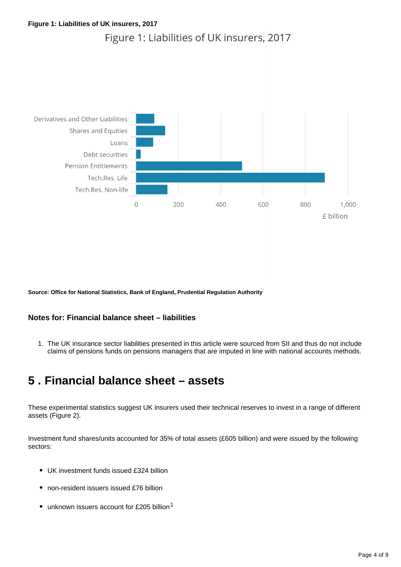### Figure 1: Liabilities of UK insurers, 2017



**Source: Office for National Statistics, Bank of England, Prudential Regulation Authority**

#### **Notes for: Financial balance sheet – liabilities**

1. The UK insurance sector liabilities presented in this article were sourced from SII and thus do not include claims of pensions funds on pensions managers that are imputed in line with national accounts methods.

### <span id="page-3-0"></span>**5 . Financial balance sheet – assets**

These experimental statistics suggest UK insurers used their technical reserves to invest in a range of different assets (Figure 2).

Investment fund shares/units accounted for 35% of total assets (£605 billion) and were issued by the following sectors:

- UK investment funds issued £324 billion
- non-resident issuers issued £76 billion
- unknown issuers account for £205 billion<sup>1</sup>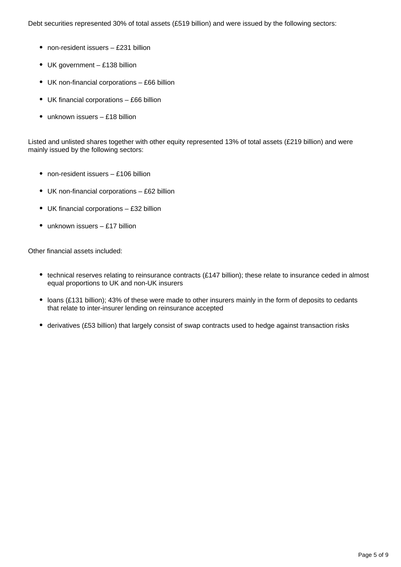Debt securities represented 30% of total assets (£519 billion) and were issued by the following sectors:

- non-resident issuers £231 billion
- UK government £138 billion
- UK non-financial corporations £66 billion
- UK financial corporations £66 billion
- unknown issuers £18 billion

Listed and unlisted shares together with other equity represented 13% of total assets (£219 billion) and were mainly issued by the following sectors:

- non-resident issuers £106 billion
- UK non-financial corporations £62 billion
- UK financial corporations £32 billion
- $\bullet$  unknown issuers £17 billion

Other financial assets included:

- technical reserves relating to reinsurance contracts (£147 billion); these relate to insurance ceded in almost equal proportions to UK and non-UK insurers
- loans (£131 billion); 43% of these were made to other insurers mainly in the form of deposits to cedants that relate to inter-insurer lending on reinsurance accepted
- derivatives (£53 billion) that largely consist of swap contracts used to hedge against transaction risks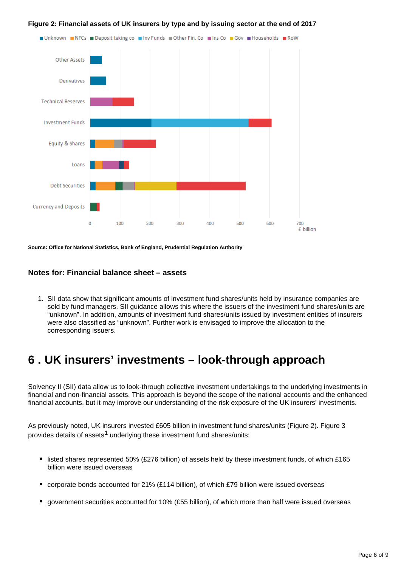

#### **Figure 2: Financial assets of UK insurers by type and by issuing sector at the end of 2017**

**Source: Office for National Statistics, Bank of England, Prudential Regulation Authority**

#### **Notes for: Financial balance sheet – assets**

1. SII data show that significant amounts of investment fund shares/units held by insurance companies are sold by fund managers. SII guidance allows this where the issuers of the investment fund shares/units are "unknown". In addition, amounts of investment fund shares/units issued by investment entities of insurers were also classified as "unknown". Further work is envisaged to improve the allocation to the corresponding issuers.

### <span id="page-5-0"></span>**6 . UK insurers' investments – look-through approach**

Solvency II (SII) data allow us to look-through collective investment undertakings to the underlying investments in financial and non-financial assets. This approach is beyond the scope of the national accounts and the enhanced financial accounts, but it may improve our understanding of the risk exposure of the UK insurers' investments.

As previously noted, UK insurers invested £605 billion in investment fund shares/units (Figure 2). Figure 3 provides details of assets<sup>1</sup> underlying these investment fund shares/units:

- listed shares represented 50% (£276 billion) of assets held by these investment funds, of which £165 billion were issued overseas
- corporate bonds accounted for 21% (£114 billion), of which £79 billion were issued overseas  $\bullet$
- government securities accounted for 10% (£55 billion), of which more than half were issued overseas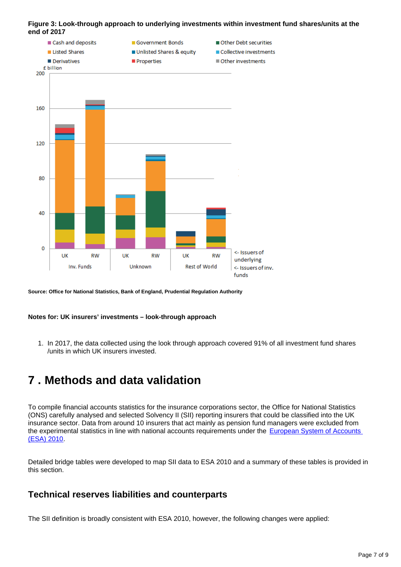#### **Figure 3: Look-through approach to underlying investments within investment fund shares/units at the end of 2017**



**Source: Office for National Statistics, Bank of England, Prudential Regulation Authority**

#### **Notes for: UK insurers' investments – look-through approach**

1. In 2017, the data collected using the look through approach covered 91% of all investment fund shares /units in which UK insurers invested.

### <span id="page-6-0"></span>**7 . Methods and data validation**

To compile financial accounts statistics for the insurance corporations sector, the Office for National Statistics (ONS) carefully analysed and selected Solvency II (SII) reporting insurers that could be classified into the UK insurance sector. Data from around 10 insurers that act mainly as pension fund managers were excluded from the experimental statistics in line with national accounts requirements under the European System of Accounts [\(ESA\) 2010](https://ec.europa.eu/eurostat/web/esa-2010).

Detailed bridge tables were developed to map SII data to ESA 2010 and a summary of these tables is provided in this section.

### **Technical reserves liabilities and counterparts**

The SII definition is broadly consistent with ESA 2010, however, the following changes were applied: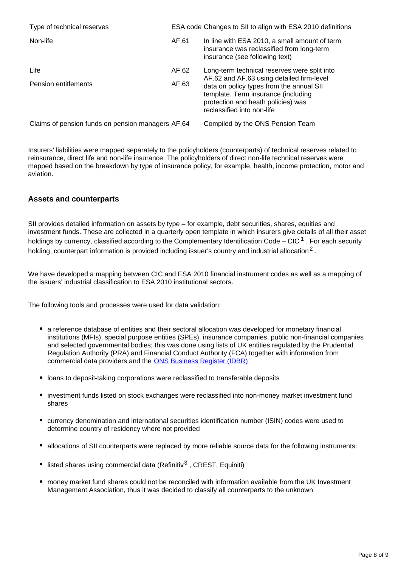| Type of technical reserves                        |       | ESA code Changes to SII to align with ESA 2010 definitions                                                                                                                                                                                       |
|---------------------------------------------------|-------|--------------------------------------------------------------------------------------------------------------------------------------------------------------------------------------------------------------------------------------------------|
| Non-life                                          | AF.61 | In line with ESA 2010, a small amount of term<br>insurance was reclassified from long-term<br>insurance (see following text)                                                                                                                     |
| Life                                              | AF.62 | Long-term technical reserves were split into<br>AF.62 and AF.63 using detailed firm-level<br>data on policy types from the annual SII<br>template. Term insurance (including<br>protection and heath policies) was<br>reclassified into non-life |
| Pension entitlements                              | AF.63 |                                                                                                                                                                                                                                                  |
| Claims of pension funds on pension managers AF.64 |       | Compiled by the ONS Pension Team                                                                                                                                                                                                                 |

Insurers' liabilities were mapped separately to the policyholders (counterparts) of technical reserves related to reinsurance, direct life and non-life insurance. The policyholders of direct non-life technical reserves were mapped based on the breakdown by type of insurance policy, for example, health, income protection, motor and aviation.

#### **Assets and counterparts**

SII provides detailed information on assets by type – for example, debt securities, shares, equities and investment funds. These are collected in a quarterly open template in which insurers give details of all their asset holdings by currency, classified according to the Complementary Identification Code – CIC  $^1$ . For each security holding, counterpart information is provided including issuer's country and industrial allocation<sup>2</sup>.

We have developed a mapping between CIC and ESA 2010 financial instrument codes as well as a mapping of the issuers' industrial classification to ESA 2010 institutional sectors.

The following tools and processes were used for data validation:

- a reference database of entities and their sectoral allocation was developed for monetary financial institutions (MFIs), special purpose entities (SPEs), insurance companies, public non-financial companies and selected governmental bodies; this was done using lists of UK entities regulated by the Prudential Regulation Authority (PRA) and Financial Conduct Authority (FCA) together with information from commercial data providers and the [ONS Business Register \(IDBR\)](https://www.ons.gov.uk/aboutus/whatwedo/paidservices/interdepartmentalbusinessregisteridbr)
- loans to deposit-taking corporations were reclassified to transferable deposits
- investment funds listed on stock exchanges were reclassified into non-money market investment fund shares
- currency denomination and international securities identification number (ISIN) codes were used to determine country of residency where not provided
- allocations of SII counterparts were replaced by more reliable source data for the following instruments:
- **·** listed shares using commercial data (Refinitiv<sup>3</sup>, CREST, Equiniti)
- money market fund shares could not be reconciled with information available from the UK Investment Management Association, thus it was decided to classify all counterparts to the unknown